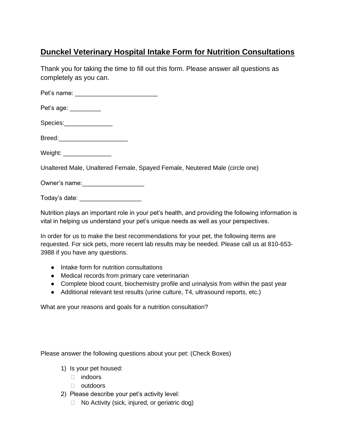## **Dunckel Veterinary Hospital Intake Form for Nutrition Consultations**

Thank you for taking the time to fill out this form. Please answer all questions as completely as you can.

Pet's name: **Example** 

Pet's age: \_\_\_\_\_\_\_\_\_

Species:\_\_\_\_\_\_\_\_\_\_\_\_\_\_

Breed:

Weight: \_\_\_\_\_\_\_\_\_\_\_\_\_\_

Unaltered Male, Unaltered Female, Spayed Female, Neutered Male (circle one)

Owner's name:

Today's date: \_\_\_\_\_\_\_\_\_\_\_\_\_\_\_\_\_\_

Nutrition plays an important role in your pet's health, and providing the following information is vital in helping us understand your pet's unique needs as well as your perspectives.

In order for us to make the best recommendations for your pet, the following items are requested. For sick pets, more recent lab results may be needed. Please call us at 810-653- 3988 if you have any questions.

- Intake form for nutrition consultations
- Medical records from primary care veterinarian
- Complete blood count, biochemistry profile and urinalysis from within the past year
- Additional relevant test results (urine culture, T4, ultrasound reports, etc.)

What are your reasons and goals for a nutrition consultation?

Please answer the following questions about your pet: (Check Boxes)

- 1) Is your pet housed:
	- $\Box$  indoors
	- □ outdoors
- 2) Please describe your pet's activity level:
	- $\Box$  No Activity (sick, injured, or geriatric dog)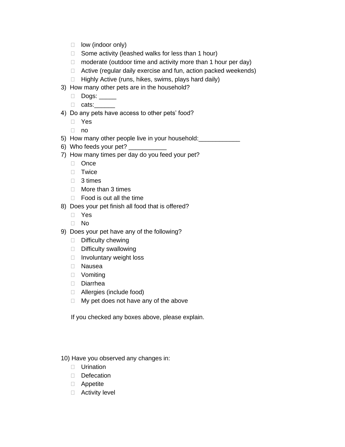- $\Box$  low (indoor only)
- $\Box$  Some activity (leashed walks for less than 1 hour)
- $\Box$  moderate (outdoor time and activity more than 1 hour per day)
- □ Active (regular daily exercise and fun, action packed weekends)
- $\Box$  Highly Active (runs, hikes, swims, plays hard daily)
- 3) How many other pets are in the household?
	- □ Dogs: \_\_\_\_\_
	- □ cats:\_\_\_\_\_\_
- 4) Do any pets have access to other pets' food?
	- Yes
	- $\Box$  no
- 5) How many other people live in your household:<br>
- 6) Who feeds your pet?
- 7) How many times per day do you feed your pet?
	- □ Once
	- **Twice**
	- □ 3 times
	- $\Box$  More than 3 times
	- $\Box$  Food is out all the time
- 8) Does your pet finish all food that is offered?
	- Yes
	- No
- 9) Does your pet have any of the following?
	- $\Box$  Difficulty chewing
	- Difficulty swallowing
	- □ Involuntary weight loss
	- Nausea
	- Vomiting
	- Diarrhea
	- □ Allergies (include food)
	- $\Box$  My pet does not have any of the above

If you checked any boxes above, please explain.

10) Have you observed any changes in:

- **Urination**
- Defecation
- Appetite
- □ Activity level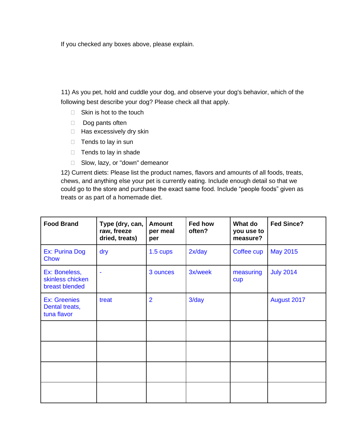If you checked any boxes above, please explain.

 11) As you pet, hold and cuddle your dog, and observe your dog's behavior, which of the following best describe your dog? Please check all that apply.

- $\Box$  Skin is hot to the touch
- $\Box$  Dog pants often
- $\Box$  Has excessively dry skin
- $\Box$  Tends to lay in sun
- $\Box$  Tends to lay in shade
- □ Slow, lazy, or "down" demeanor

12) Current diets: Please list the product names, flavors and amounts of all foods, treats, chews, and anything else your pet is currently eating. Include enough detail so that we could go to the store and purchase the exact same food. Include "people foods" given as treats or as part of a homemade diet.

| <b>Food Brand</b>                                    | Type (dry, can,<br>raw, freeze<br>dried, treats) | <b>Amount</b><br>per meal<br>per | Fed how<br>often? | What do<br>you use to<br>measure? | <b>Fed Since?</b> |
|------------------------------------------------------|--------------------------------------------------|----------------------------------|-------------------|-----------------------------------|-------------------|
| Ex: Purina Dog<br><b>Chow</b>                        | dry                                              | 1.5 cups                         | 2x/day            | Coffee cup                        | <b>May 2015</b>   |
| Ex: Boneless,<br>skinless chicken<br>breast blended  |                                                  | 3 ounces                         | 3x/week           | measuring<br>cup                  | <b>July 2014</b>  |
| <b>Ex: Greenies</b><br>Dental treats,<br>tuna flavor | treat                                            | $\overline{2}$                   | $3$ /day          |                                   | August 2017       |
|                                                      |                                                  |                                  |                   |                                   |                   |
|                                                      |                                                  |                                  |                   |                                   |                   |
|                                                      |                                                  |                                  |                   |                                   |                   |
|                                                      |                                                  |                                  |                   |                                   |                   |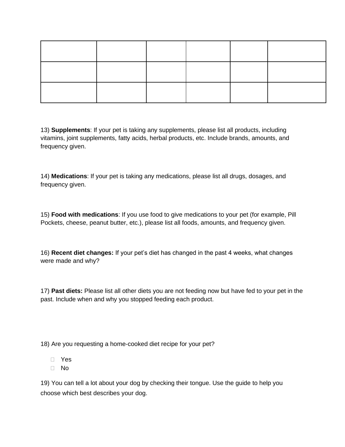13) **Supplements**: If your pet is taking any supplements, please list all products, including vitamins, joint supplements, fatty acids, herbal products, etc. Include brands, amounts, and frequency given.

14) **Medications**: If your pet is taking any medications, please list all drugs, dosages, and frequency given.

15) **Food with medications**: If you use food to give medications to your pet (for example, Pill Pockets, cheese, peanut butter, etc.), please list all foods, amounts, and frequency given.

16) **Recent diet changes:** If your pet's diet has changed in the past 4 weeks, what changes were made and why?

17) **Past diets:** Please list all other diets you are not feeding now but have fed to your pet in the past. Include when and why you stopped feeding each product.

18) Are you requesting a home-cooked diet recipe for your pet?

- Yes
- No

19) You can tell a lot about your dog by checking their tongue. Use the guide to help you choose which best describes your dog.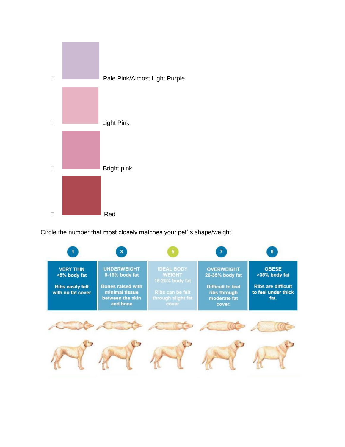

Circle the number that most closely matches your pet' s shape/weight.